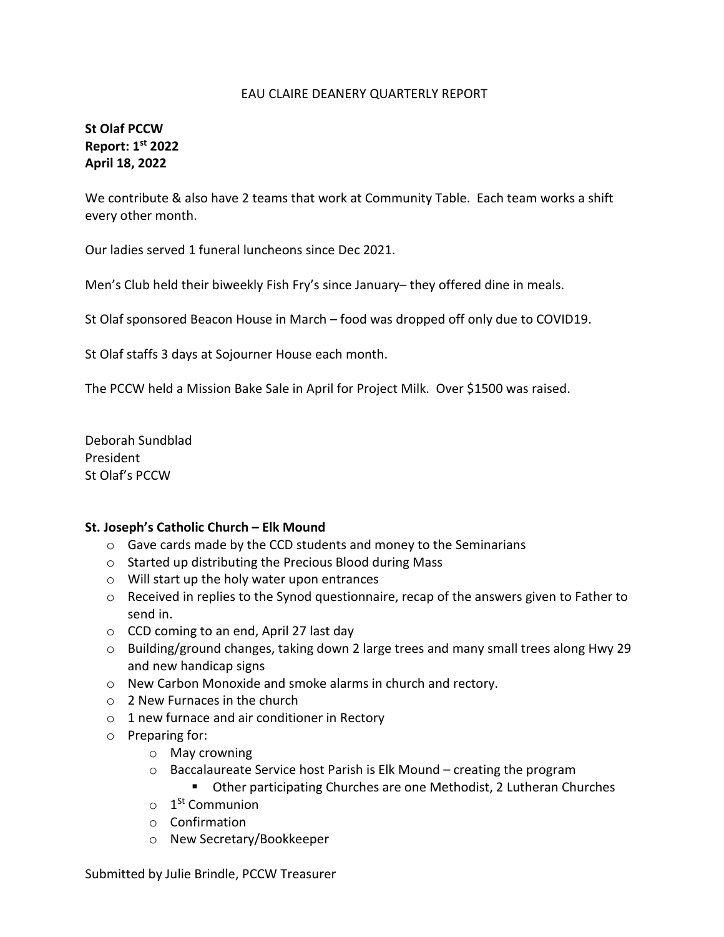#### EAU CLAIRE DEANERY QUARTERLY REPORT

## **St Olaf PCCW Report: 1st 2022 April 18, 2022**

We contribute & also have 2 teams that work at Community Table. Each team works a shift every other month.

Our ladies served 1 funeral luncheons since Dec 2021.

Men's Club held their biweekly Fish Fry's since January– they offered dine in meals.

St Olaf sponsored Beacon House in March – food was dropped off only due to COVID19.

St Olaf staffs 3 days at Sojourner House each month.

The PCCW held a Mission Bake Sale in April for Project Milk. Over \$1500 was raised.

Deborah Sundblad President St Olaf's PCCW

#### **St. Joseph's Catholic Church – Elk Mound**

- o Gave cards made by the CCD students and money to the Seminarians
- o Started up distributing the Precious Blood during Mass
- o Will start up the holy water upon entrances
- $\circ$  Received in replies to the Synod questionnaire, recap of the answers given to Father to send in.
- o CCD coming to an end, April 27 last day
- o Building/ground changes, taking down 2 large trees and many small trees along Hwy 29 and new handicap signs
- o New Carbon Monoxide and smoke alarms in church and rectory.
- o 2 New Furnaces in the church
- o 1 new furnace and air conditioner in Rectory
- o Preparing for:
	- o May crowning
	- $\circ$  Baccalaureate Service host Parish is Elk Mound creating the program
		- **Other participating Churches are one Methodist, 2 Lutheran Churches**
	- $\circ$  1<sup>St</sup> Communion
	- o Confirmation
	- o New Secretary/Bookkeeper

Submitted by Julie Brindle, PCCW Treasurer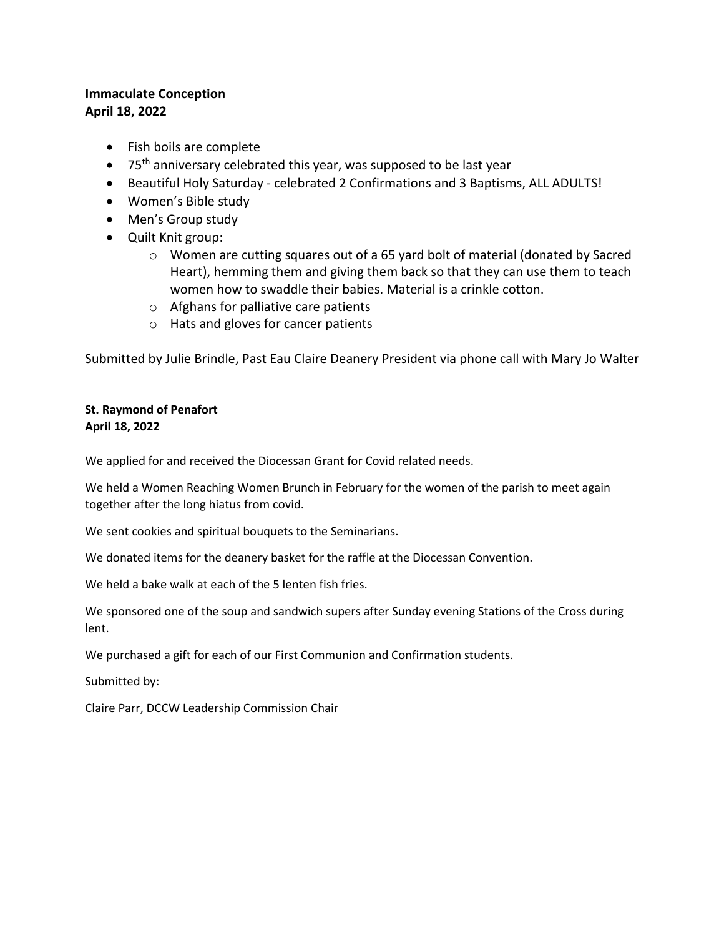### **Immaculate Conception April 18, 2022**

- Fish boils are complete
- $\bullet$  75<sup>th</sup> anniversary celebrated this year, was supposed to be last year
- Beautiful Holy Saturday celebrated 2 Confirmations and 3 Baptisms, ALL ADULTS!
- Women's Bible study
- Men's Group study
- Quilt Knit group:
	- $\circ$  Women are cutting squares out of a 65 yard bolt of material (donated by Sacred Heart), hemming them and giving them back so that they can use them to teach women how to swaddle their babies. Material is a crinkle cotton.
	- o Afghans for palliative care patients
	- o Hats and gloves for cancer patients

Submitted by Julie Brindle, Past Eau Claire Deanery President via phone call with Mary Jo Walter

#### **St. Raymond of Penafort April 18, 2022**

We applied for and received the Diocessan Grant for Covid related needs.

We held a Women Reaching Women Brunch in February for the women of the parish to meet again together after the long hiatus from covid.

We sent cookies and spiritual bouquets to the Seminarians.

We donated items for the deanery basket for the raffle at the Diocessan Convention.

We held a bake walk at each of the 5 lenten fish fries.

We sponsored one of the soup and sandwich supers after Sunday evening Stations of the Cross during lent.

We purchased a gift for each of our First Communion and Confirmation students.

Submitted by:

Claire Parr, DCCW Leadership Commission Chair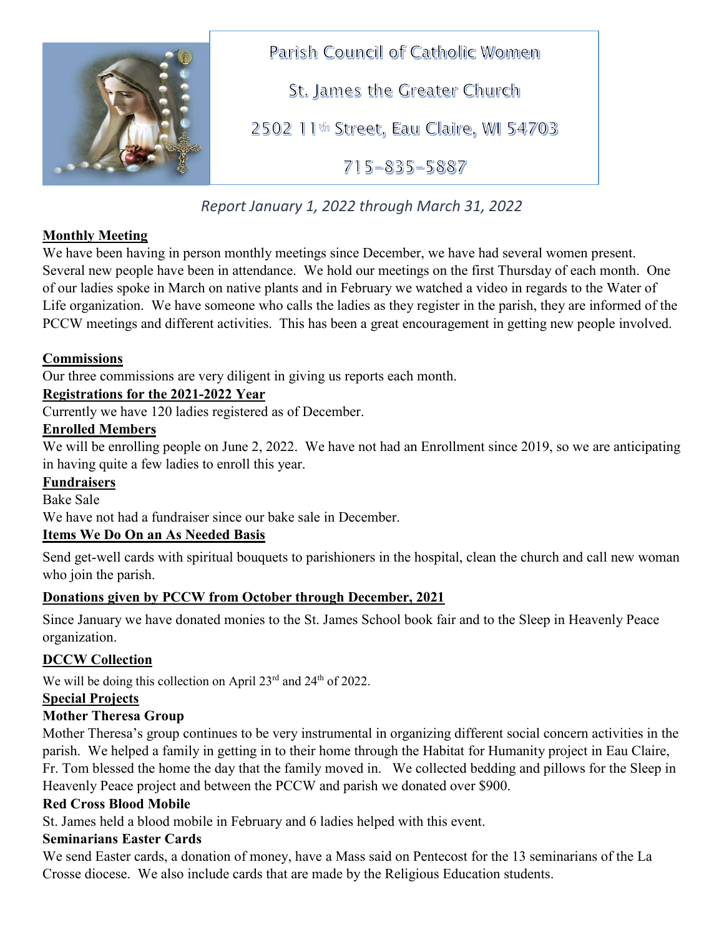

Parish Council of Catholic Women

St. James the Greater Church

2502 11th Street, Eau Claire, WI 54703

 $715 - 835 - 5887$ 

*Report January 1, 2022 through March 31, 2022*

# **Monthly Meeting**

We have been having in person monthly meetings since December, we have had several women present. Several new people have been in attendance. We hold our meetings on the first Thursday of each month. One of our ladies spoke in March on native plants and in February we watched a video in regards to the Water of Life organization. We have someone who calls the ladies as they register in the parish, they are informed of the PCCW meetings and different activities. This has been a great encouragement in getting new people involved.

# **Commissions**

Our three commissions are very diligent in giving us reports each month.

# **Registrations for the 2021-2022 Year**

Currently we have 120 ladies registered as of December.

### **Enrolled Members**

We will be enrolling people on June 2, 2022. We have not had an Enrollment since 2019, so we are anticipating in having quite a few ladies to enroll this year.

### **Fundraisers**

Bake Sale

We have not had a fundraiser since our bake sale in December.

# **Items We Do On an As Needed Basis**

Send get-well cards with spiritual bouquets to parishioners in the hospital, clean the church and call new woman who join the parish.

### **Donations given by PCCW from October through December, 2021**

Since January we have donated monies to the St. James School book fair and to the Sleep in Heavenly Peace organization.

# **DCCW Collection**

We will be doing this collection on April 23<sup>rd</sup> and 24<sup>th</sup> of 2022.

### **Special Projects**

# **Mother Theresa Group**

Mother Theresa's group continues to be very instrumental in organizing different social concern activities in the parish. We helped a family in getting in to their home through the Habitat for Humanity project in Eau Claire, Fr. Tom blessed the home the day that the family moved in. We collected bedding and pillows for the Sleep in Heavenly Peace project and between the PCCW and parish we donated over \$900.

# **Red Cross Blood Mobile**

St. James held a blood mobile in February and 6 ladies helped with this event.

### **Seminarians Easter Cards**

We send Easter cards, a donation of money, have a Mass said on Pentecost for the 13 seminarians of the La Crosse diocese. We also include cards that are made by the Religious Education students.